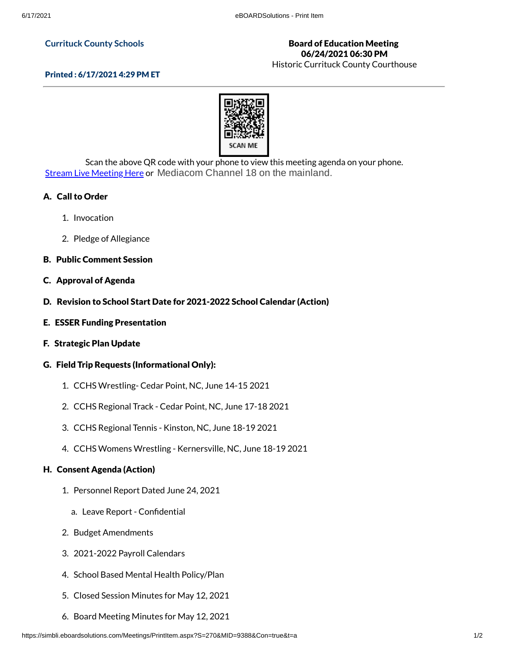#### **Currituck County Schools**

## Board of Education Meeting 06/24/2021 06:30 PM

Historic Currituck County Courthouse



Scan the above QR code with your phone to view this meeting agenda on your phone. Stream Live [Meeting](http://currituckcountync.iqm2.com/Citizens/default.aspx) Here or Mediacom Channel 18 on the mainland.

# A. Call to Order

- 1. Invocation
- 2. Pledge of Allegiance
- B. Public Comment Session
- C. Approval of Agenda
- D. Revision to School Start Date for 2021-2022 School Calendar (Action)
- E. ESSER Funding Presentation
- F. Strategic Plan Update

## G. Field Trip Requests (Informational Only):

- 1. CCHS Wrestling- Cedar Point, NC, June 14-15 2021
- 2. CCHS Regional Track Cedar Point, NC, June 17-18 2021
- 3. CCHS Regional Tennis Kinston, NC, June 18-19 2021
- 4. CCHS Womens Wrestling Kernersville, NC, June 18-19 2021

## H. Consent Agenda (Action)

- 1. Personnel Report Dated June 24, 2021
	- a. Leave Report Confidential
- 2. Budget Amendments
- 3. 2021-2022 Payroll Calendars
- 4. School Based Mental Health Policy/Plan
- 5. Closed Session Minutes for May 12, 2021
- 6. Board Meeting Minutes for May 12, 2021